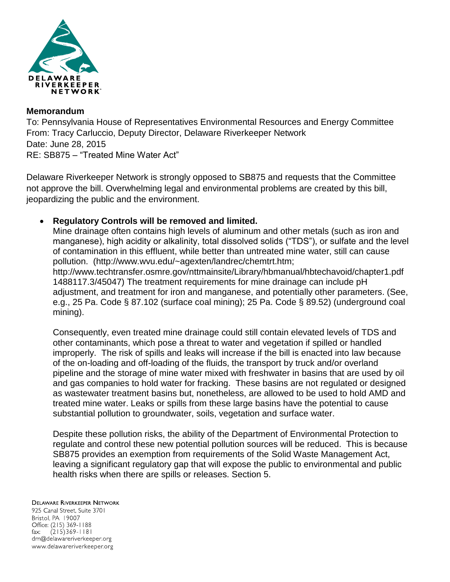

#### **Memorandum**

To: Pennsylvania House of Representatives Environmental Resources and Energy Committee From: Tracy Carluccio, Deputy Director, Delaware Riverkeeper Network Date: June 28, 2015 RE: SB875 – "Treated Mine Water Act"

Delaware Riverkeeper Network is strongly opposed to SB875 and requests that the Committee not approve the bill. Overwhelming legal and environmental problems are created by this bill, jeopardizing the public and the environment.

# **Regulatory Controls will be removed and limited.**

Mine drainage often contains high levels of aluminum and other metals (such as iron and manganese), high acidity or alkalinity, total dissolved solids ("TDS"), or sulfate and the level of contamination in this effluent, while better than untreated mine water, still can cause pollution. (http://www.wvu.edu/~agexten/landrec/chemtrt.htm; http://www.techtransfer.osmre.gov/nttmainsite/Library/hbmanual/hbtechavoid/chapter1.pdf 1488117.3/45047) The treatment requirements for mine drainage can include pH adjustment, and treatment for iron and manganese, and potentially other parameters. (See, e.g., 25 Pa. Code § 87.102 (surface coal mining); 25 Pa. Code § 89.52) (underground coal mining).

Consequently, even treated mine drainage could still contain elevated levels of TDS and other contaminants, which pose a threat to water and vegetation if spilled or handled improperly. The risk of spills and leaks will increase if the bill is enacted into law because of the on-loading and off-loading of the fluids, the transport by truck and/or overland pipeline and the storage of mine water mixed with freshwater in basins that are used by oil and gas companies to hold water for fracking. These basins are not regulated or designed as wastewater treatment basins but, nonetheless, are allowed to be used to hold AMD and treated mine water. Leaks or spills from these large basins have the potential to cause substantial pollution to groundwater, soils, vegetation and surface water.

Despite these pollution risks, the ability of the Department of Environmental Protection to regulate and control these new potential pollution sources will be reduced. This is because SB875 provides an exemption from requirements of the Solid Waste Management Act, leaving a significant regulatory gap that will expose the public to environmental and public health risks when there are spills or releases. Section 5.

#### **DELAWARE RIVERKEEPER NETWORK**

925 Canal Street, Suite 3701 Bristol, PA 19007 Office: (215) 369-1188 fax:  $(215)369 - 1181$ drn@delawareriverkeeper.org www.delawareriverkeeper.org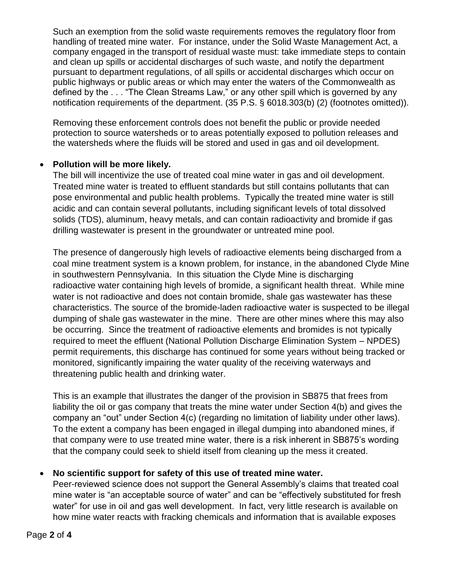Such an exemption from the solid waste requirements removes the regulatory floor from handling of treated mine water. For instance, under the Solid Waste Management Act, a company engaged in the transport of residual waste must: take immediate steps to contain and clean up spills or accidental discharges of such waste, and notify the department pursuant to department regulations, of all spills or accidental discharges which occur on public highways or public areas or which may enter the waters of the Commonwealth as defined by the . . . "The Clean Streams Law," or any other spill which is governed by any notification requirements of the department. (35 P.S. § 6018.303(b) (2) (footnotes omitted)).

Removing these enforcement controls does not benefit the public or provide needed protection to source watersheds or to areas potentially exposed to pollution releases and the watersheds where the fluids will be stored and used in gas and oil development.

## **Pollution will be more likely.**

The bill will incentivize the use of treated coal mine water in gas and oil development. Treated mine water is treated to effluent standards but still contains pollutants that can pose environmental and public health problems. Typically the treated mine water is still acidic and can contain several pollutants, including significant levels of total dissolved solids (TDS), aluminum, heavy metals, and can contain radioactivity and bromide if gas drilling wastewater is present in the groundwater or untreated mine pool.

The presence of dangerously high levels of radioactive elements being discharged from a coal mine treatment system is a known problem, for instance, in the abandoned Clyde Mine in southwestern Pennsylvania. In this situation the Clyde Mine is discharging radioactive water containing high levels of bromide, a significant health threat. While mine water is not radioactive and does not contain bromide, shale gas wastewater has these characteristics. The source of the bromide-laden radioactive water is suspected to be illegal dumping of shale gas wastewater in the mine. There are other mines where this may also be occurring. Since the treatment of radioactive elements and bromides is not typically required to meet the effluent (National Pollution Discharge Elimination System – NPDES) permit requirements, this discharge has continued for some years without being tracked or monitored, significantly impairing the water quality of the receiving waterways and threatening public health and drinking water.

This is an example that illustrates the danger of the provision in SB875 that frees from liability the oil or gas company that treats the mine water under Section 4(b) and gives the company an "out" under Section 4(c) (regarding no limitation of liability under other laws). To the extent a company has been engaged in illegal dumping into abandoned mines, if that company were to use treated mine water, there is a risk inherent in SB875's wording that the company could seek to shield itself from cleaning up the mess it created.

# **No scientific support for safety of this use of treated mine water.**

Peer-reviewed science does not support the General Assembly's claims that treated coal mine water is "an acceptable source of water" and can be "effectively substituted for fresh water" for use in oil and gas well development. In fact, very little research is available on how mine water reacts with fracking chemicals and information that is available exposes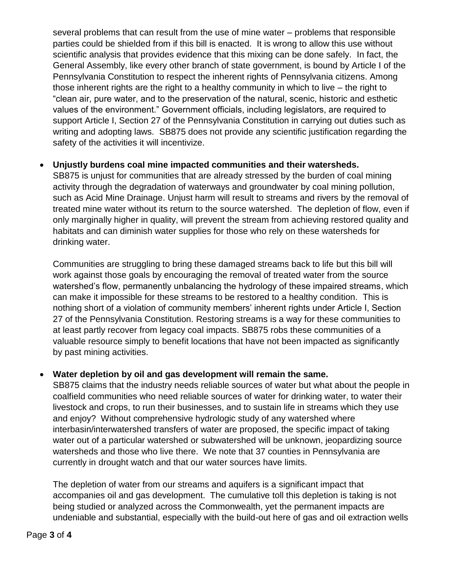several problems that can result from the use of mine water – problems that responsible parties could be shielded from if this bill is enacted. It is wrong to allow this use without scientific analysis that provides evidence that this mixing can be done safely. In fact, the General Assembly, like every other branch of state government, is bound by Article I of the Pennsylvania Constitution to respect the inherent rights of Pennsylvania citizens. Among those inherent rights are the right to a healthy community in which to live – the right to "clean air, pure water, and to the preservation of the natural, scenic, historic and esthetic values of the environment." Government officials, including legislators, are required to support Article I, Section 27 of the Pennsylvania Constitution in carrying out duties such as writing and adopting laws. SB875 does not provide any scientific justification regarding the safety of the activities it will incentivize.

## **Unjustly burdens coal mine impacted communities and their watersheds.**

SB875 is unjust for communities that are already stressed by the burden of coal mining activity through the degradation of waterways and groundwater by coal mining pollution, such as Acid Mine Drainage. Unjust harm will result to streams and rivers by the removal of treated mine water without its return to the source watershed. The depletion of flow, even if only marginally higher in quality, will prevent the stream from achieving restored quality and habitats and can diminish water supplies for those who rely on these watersheds for drinking water.

Communities are struggling to bring these damaged streams back to life but this bill will work against those goals by encouraging the removal of treated water from the source watershed's flow, permanently unbalancing the hydrology of these impaired streams, which can make it impossible for these streams to be restored to a healthy condition. This is nothing short of a violation of community members' inherent rights under Article I, Section 27 of the Pennsylvania Constitution. Restoring streams is a way for these communities to at least partly recover from legacy coal impacts. SB875 robs these communities of a valuable resource simply to benefit locations that have not been impacted as significantly by past mining activities.

#### **Water depletion by oil and gas development will remain the same.**

SB875 claims that the industry needs reliable sources of water but what about the people in coalfield communities who need reliable sources of water for drinking water, to water their livestock and crops, to run their businesses, and to sustain life in streams which they use and enjoy? Without comprehensive hydrologic study of any watershed where interbasin/interwatershed transfers of water are proposed, the specific impact of taking water out of a particular watershed or subwatershed will be unknown, jeopardizing source watersheds and those who live there. We note that 37 counties in Pennsylvania are currently in drought watch and that our water sources have limits.

The depletion of water from our streams and aquifers is a significant impact that accompanies oil and gas development. The cumulative toll this depletion is taking is not being studied or analyzed across the Commonwealth, yet the permanent impacts are undeniable and substantial, especially with the build-out here of gas and oil extraction wells